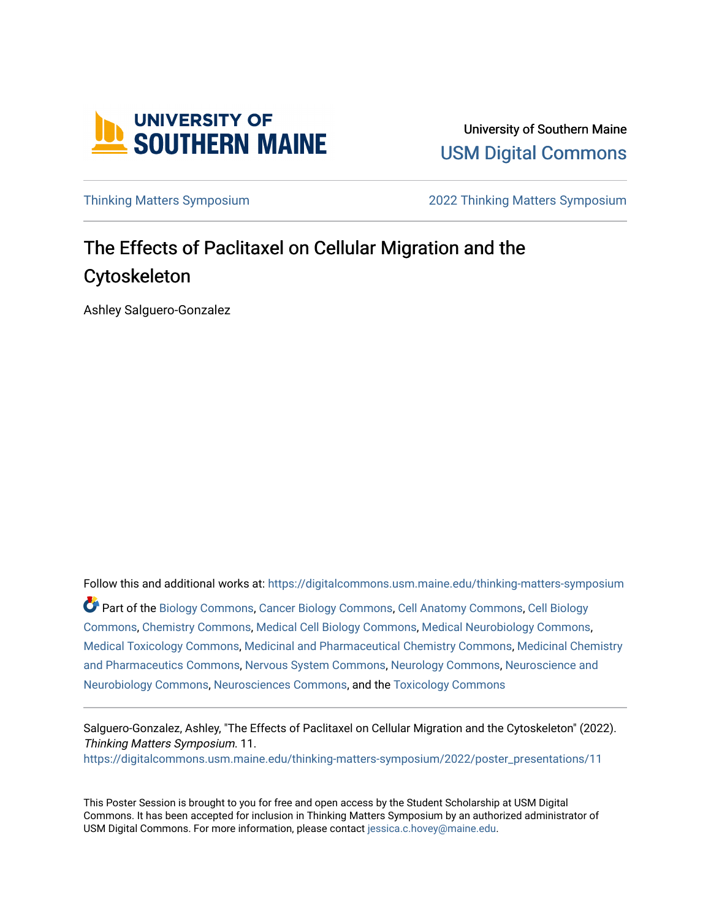

University of Southern Maine [USM Digital Commons](https://digitalcommons.usm.maine.edu/) 

[Thinking Matters Symposium](https://digitalcommons.usm.maine.edu/thinking-matters-symposium) [2022 Thinking Matters Symposium](https://digitalcommons.usm.maine.edu/thinking-matters-symposium/2022) 

## The Effects of Paclitaxel on Cellular Migration and the Cytoskeleton

Ashley Salguero-Gonzalez

Follow this and additional works at: [https://digitalcommons.usm.maine.edu/thinking-matters-symposium](https://digitalcommons.usm.maine.edu/thinking-matters-symposium?utm_source=digitalcommons.usm.maine.edu%2Fthinking-matters-symposium%2F2022%2Fposter_presentations%2F11&utm_medium=PDF&utm_campaign=PDFCoverPages)  Part of the [Biology Commons,](http://network.bepress.com/hgg/discipline/41?utm_source=digitalcommons.usm.maine.edu%2Fthinking-matters-symposium%2F2022%2Fposter_presentations%2F11&utm_medium=PDF&utm_campaign=PDFCoverPages) [Cancer Biology Commons](http://network.bepress.com/hgg/discipline/12?utm_source=digitalcommons.usm.maine.edu%2Fthinking-matters-symposium%2F2022%2Fposter_presentations%2F11&utm_medium=PDF&utm_campaign=PDFCoverPages), [Cell Anatomy Commons](http://network.bepress.com/hgg/discipline/9?utm_source=digitalcommons.usm.maine.edu%2Fthinking-matters-symposium%2F2022%2Fposter_presentations%2F11&utm_medium=PDF&utm_campaign=PDFCoverPages), [Cell Biology](http://network.bepress.com/hgg/discipline/10?utm_source=digitalcommons.usm.maine.edu%2Fthinking-matters-symposium%2F2022%2Fposter_presentations%2F11&utm_medium=PDF&utm_campaign=PDFCoverPages)  [Commons](http://network.bepress.com/hgg/discipline/10?utm_source=digitalcommons.usm.maine.edu%2Fthinking-matters-symposium%2F2022%2Fposter_presentations%2F11&utm_medium=PDF&utm_campaign=PDFCoverPages), [Chemistry Commons](http://network.bepress.com/hgg/discipline/131?utm_source=digitalcommons.usm.maine.edu%2Fthinking-matters-symposium%2F2022%2Fposter_presentations%2F11&utm_medium=PDF&utm_campaign=PDFCoverPages), [Medical Cell Biology Commons,](http://network.bepress.com/hgg/discipline/669?utm_source=digitalcommons.usm.maine.edu%2Fthinking-matters-symposium%2F2022%2Fposter_presentations%2F11&utm_medium=PDF&utm_campaign=PDFCoverPages) [Medical Neurobiology Commons,](http://network.bepress.com/hgg/discipline/674?utm_source=digitalcommons.usm.maine.edu%2Fthinking-matters-symposium%2F2022%2Fposter_presentations%2F11&utm_medium=PDF&utm_campaign=PDFCoverPages) [Medical Toxicology Commons](http://network.bepress.com/hgg/discipline/678?utm_source=digitalcommons.usm.maine.edu%2Fthinking-matters-symposium%2F2022%2Fposter_presentations%2F11&utm_medium=PDF&utm_campaign=PDFCoverPages), [Medicinal and Pharmaceutical Chemistry Commons](http://network.bepress.com/hgg/discipline/734?utm_source=digitalcommons.usm.maine.edu%2Fthinking-matters-symposium%2F2022%2Fposter_presentations%2F11&utm_medium=PDF&utm_campaign=PDFCoverPages), [Medicinal Chemistry](http://network.bepress.com/hgg/discipline/65?utm_source=digitalcommons.usm.maine.edu%2Fthinking-matters-symposium%2F2022%2Fposter_presentations%2F11&utm_medium=PDF&utm_campaign=PDFCoverPages) [and Pharmaceutics Commons,](http://network.bepress.com/hgg/discipline/65?utm_source=digitalcommons.usm.maine.edu%2Fthinking-matters-symposium%2F2022%2Fposter_presentations%2F11&utm_medium=PDF&utm_campaign=PDFCoverPages) [Nervous System Commons](http://network.bepress.com/hgg/discipline/949?utm_source=digitalcommons.usm.maine.edu%2Fthinking-matters-symposium%2F2022%2Fposter_presentations%2F11&utm_medium=PDF&utm_campaign=PDFCoverPages), [Neurology Commons,](http://network.bepress.com/hgg/discipline/692?utm_source=digitalcommons.usm.maine.edu%2Fthinking-matters-symposium%2F2022%2Fposter_presentations%2F11&utm_medium=PDF&utm_campaign=PDFCoverPages) [Neuroscience and](http://network.bepress.com/hgg/discipline/55?utm_source=digitalcommons.usm.maine.edu%2Fthinking-matters-symposium%2F2022%2Fposter_presentations%2F11&utm_medium=PDF&utm_campaign=PDFCoverPages) [Neurobiology Commons,](http://network.bepress.com/hgg/discipline/55?utm_source=digitalcommons.usm.maine.edu%2Fthinking-matters-symposium%2F2022%2Fposter_presentations%2F11&utm_medium=PDF&utm_campaign=PDFCoverPages) [Neurosciences Commons](http://network.bepress.com/hgg/discipline/1010?utm_source=digitalcommons.usm.maine.edu%2Fthinking-matters-symposium%2F2022%2Fposter_presentations%2F11&utm_medium=PDF&utm_campaign=PDFCoverPages), and the [Toxicology Commons](http://network.bepress.com/hgg/discipline/67?utm_source=digitalcommons.usm.maine.edu%2Fthinking-matters-symposium%2F2022%2Fposter_presentations%2F11&utm_medium=PDF&utm_campaign=PDFCoverPages) 

Salguero-Gonzalez, Ashley, "The Effects of Paclitaxel on Cellular Migration and the Cytoskeleton" (2022). Thinking Matters Symposium. 11. [https://digitalcommons.usm.maine.edu/thinking-matters-symposium/2022/poster\\_presentations/11](https://digitalcommons.usm.maine.edu/thinking-matters-symposium/2022/poster_presentations/11?utm_source=digitalcommons.usm.maine.edu%2Fthinking-matters-symposium%2F2022%2Fposter_presentations%2F11&utm_medium=PDF&utm_campaign=PDFCoverPages) 

This Poster Session is brought to you for free and open access by the Student Scholarship at USM Digital Commons. It has been accepted for inclusion in Thinking Matters Symposium by an authorized administrator of USM Digital Commons. For more information, please contact [jessica.c.hovey@maine.edu](mailto:ian.fowler@maine.edu).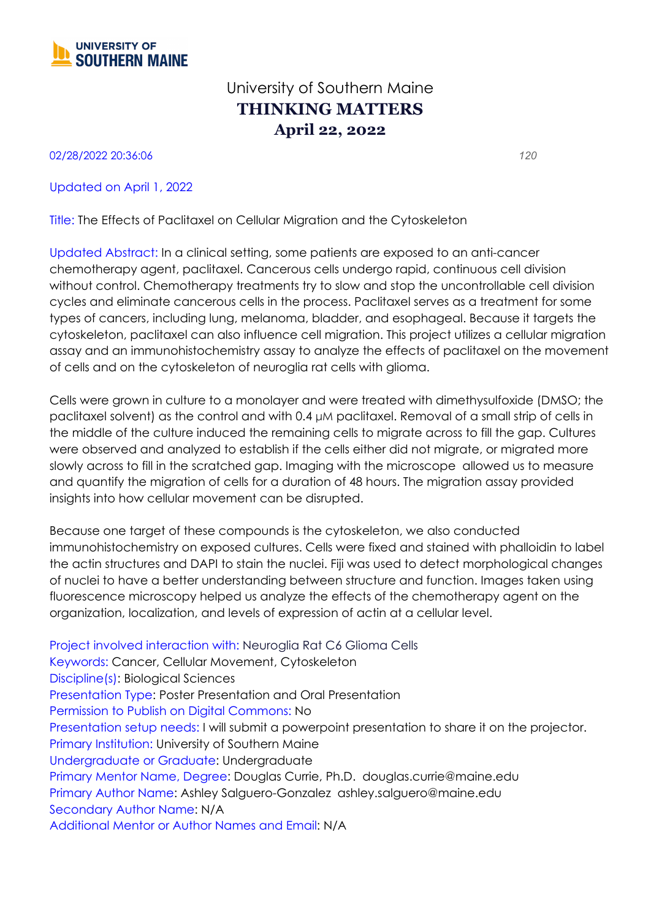

## University of Southern Maine **THINKING MATTERS April 22, 2022**

02/28/2022 20:36:06 *120*

Updated on April 1, 2022

Title: The Effects of Paclitaxel on Cellular Migration and the Cytoskeleton

Updated Abstract: In a clinical setting, some patients are exposed to an anti-cancer chemotherapy agent, paclitaxel. Cancerous cells undergo rapid, continuous cell division without control. Chemotherapy treatments try to slow and stop the uncontrollable cell division cycles and eliminate cancerous cells in the process. Paclitaxel serves as a treatment for some types of cancers, including lung, melanoma, bladder, and esophageal. Because it targets the cytoskeleton, paclitaxel can also influence cell migration. This project utilizes a cellular migration assay and an immunohistochemistry assay to analyze the effects of paclitaxel on the movement of cells and on the cytoskeleton of neuroglia rat cells with glioma.

Cells were grown in culture to a monolayer and were treated with dimethysulfoxide (DMSO; the paclitaxel solvent) as the control and with 0.4 μM paclitaxel. Removal of a small strip of cells in the middle of the culture induced the remaining cells to migrate across to fill the gap. Cultures were observed and analyzed to establish if the cells either did not migrate, or migrated more slowly across to fill in the scratched gap. Imaging with the microscope allowed us to measure and quantify the migration of cells for a duration of 48 hours. The migration assay provided insights into how cellular movement can be disrupted.

Because one target of these compounds is the cytoskeleton, we also conducted immunohistochemistry on exposed cultures. Cells were fixed and stained with phalloidin to label the actin structures and DAPI to stain the nuclei. Fiji was used to detect morphological changes of nuclei to have a better understanding between structure and function. Images taken using fluorescence microscopy helped us analyze the effects of the chemotherapy agent on the organization, localization, and levels of expression of actin at a cellular level.

Project involved interaction with: Neuroglia Rat C6 Glioma Cells Keywords: Cancer, Cellular Movement, Cytoskeleton Discipline(s): Biological Sciences Presentation Type: Poster Presentation and Oral Presentation Permission to Publish on Digital Commons: No Presentation setup needs: I will submit a powerpoint presentation to share it on the projector. Primary Institution: University of Southern Maine Undergraduate or Graduate: Undergraduate Primary Mentor Name, Degree: Douglas Currie, Ph.D. douglas.currie@maine.edu Primary Author Name: Ashley Salguero-Gonzalez ashley.salguero@maine.edu Secondary Author Name: N/A Additional Mentor or Author Names and Email: N/A